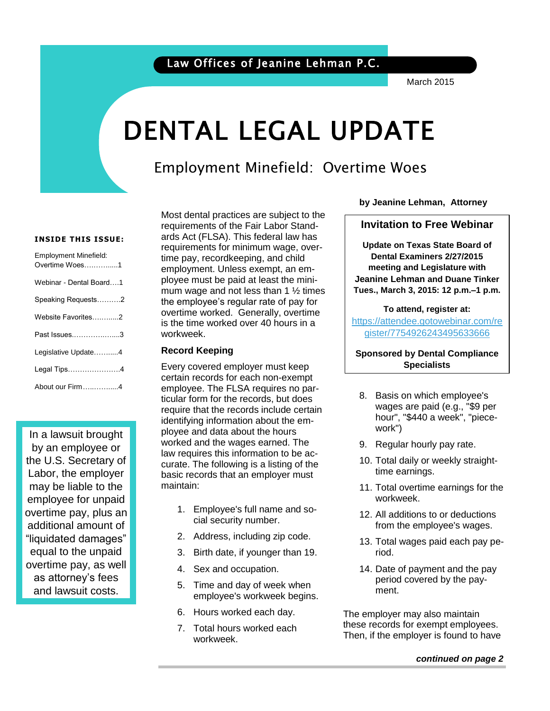### Law Offices of Jeanine Lehman P.C.

March 2015

# DENTAL LEGAL UPDATE

### Employment Minefield: Overtime Woes

#### **INSIDE THIS ISSUE:**

| <b>Employment Minefield:</b><br>Overtime Woes1 |
|------------------------------------------------|
| Webinar - Dental Board1                        |
| Speaking Requests2                             |
| Website Favorites2                             |
| Past Issues3                                   |
| Legislative Update4                            |
| Legal Tips4                                    |
| About our Firm4                                |

In a lawsuit brought by an employee or the U.S. Secretary of Labor, the employer may be liable to the employee for unpaid overtime pay, plus an additional amount of "liquidated damages" equal to the unpaid overtime pay, as well as attorney's fees and lawsuit costs.

Most dental practices are subject to the requirements of the Fair Labor Standards Act (FLSA). This federal law has requirements for minimum wage, overtime pay, recordkeeping, and child employment. Unless exempt, an employee must be paid at least the minimum wage and not less than 1  $\frac{1}{2}$  times the employee's regular rate of pay for overtime worked. Generally, overtime is the time worked over 40 hours in a workweek.

#### **Record Keeping**

Every covered employer must keep certain records for each non-exempt employee. The FLSA requires no particular form for the records, but does require that the records include certain identifying information about the employee and data about the hours worked and the wages earned. The law requires this information to be accurate. The following is a listing of the basic records that an employer must maintain:

- 1. Employee's full name and social security number.
- 2. Address, including zip code.
- 3. Birth date, if younger than 19.
- 4. Sex and occupation.
- 5. Time and day of week when employee's workweek begins.
- 6. Hours worked each day.
- 7. Total hours worked each workweek.

**by Jeanine Lehman, Attorney**

#### **Invitation to Free Webinar**

 **Update on Texas State Board of**  by Jeanine Lehman, At-**Jeanine Lehman and Duane Tinker** torney **Tues., March 3, 2015: 12 p.m.–1 p.m. Dental Examiners 2/27/2015 meeting and Legislature with** 

**To attend, register at:**

[https://attendee.gotowebinar.com/re](https://attendee.gotowebinar.com/register/7754926243495633666) [gister/7754926243495633666](https://attendee.gotowebinar.com/register/7754926243495633666)

**Sponsored by Dental Compliance Specialists**

- 8. Basis on which employee's wages are paid (e.g., "\$9 per hour", "\$440 a week", "piecework")
- 9. Regular hourly pay rate.
- 10. Total daily or weekly straighttime earnings.
- 11. Total overtime earnings for the workweek.
- 12. All additions to or deductions from the employee's wages.
- 13. Total wages paid each pay period.
- 14. Date of payment and the pay period covered by the payment.

The employer may also maintain these records for exempt employees. Then, if the employer is found to have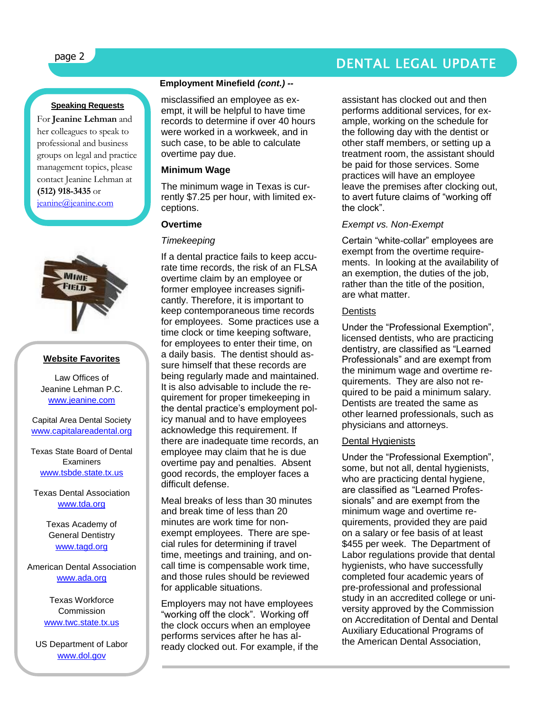#### **Speaking Requests**

For **Jeanine Lehman** and her colleagues to speak to professional and business groups on legal and practice management topics, please contact Jeanine Lehman at **(512) 918-3435** or [jeanine@jeanine.com](mailto:jeanine@jeanine.com)



ļ

#### **Website Favorites**

Law Offices of Jeanine Lehman P.C. [www.jeanine.com](http://www.jeanine.com/)

Capital Area Dental Society [www.capitalareadental.org](http://www.capitalareadental.org/)

Texas State Board of Dental **Examiners** [www.tsbde.state.tx.us](http://www.tsbde.state.tx.us/)

Texas Dental Association [www.tda.org](http://www.tda.org/)

> Texas Academy of General Dentistry [www.tagd.org](http://www.tagd.org/)

American Dental Association [www.ada.org](http://www.ada.org/)

> Texas Workforce **Commission** [www.twc.state.tx.us](http://www.twc.state.tx.us/)

US Department of Labor [www.dol.gov](http://www.dol.gov/)

#### **Employment Minefield** *(cont.) --*

misclassified an employee as exempt, it will be helpful to have time records to determine if over 40 hours were worked in a workweek, and in such case, to be able to calculate overtime pay due.

#### **Minimum Wage**

The minimum wage in Texas is currently \$7.25 per hour, with limited exceptions.

#### **Overtime**

#### *Timekeeping*

If a dental practice fails to keep accurate time records, the risk of an FLSA overtime claim by an employee or former employee increases significantly. Therefore, it is important to keep contemporaneous time records for employees. Some practices use a time clock or time keeping software, for employees to enter their time, on a daily basis. The dentist should assure himself that these records are being regularly made and maintained. It is also advisable to include the requirement for proper timekeeping in the dental practice's employment policy manual and to have employees acknowledge this requirement. If there are inadequate time records, an employee may claim that he is due overtime pay and penalties. Absent good records, the employer faces a difficult defense.

Meal breaks of less than 30 minutes and break time of less than 20 minutes are work time for nonexempt employees. There are special rules for determining if travel time, meetings and training, and oncall time is compensable work time, and those rules should be reviewed for applicable situations.

Employers may not have employees "working off the clock". Working off the clock occurs when an employee performs services after he has already clocked out. For example, if the

### page 2 DENTAL LEGAL UPDATE

assistant has clocked out and then performs additional services, for example, working on the schedule for the following day with the dentist or other staff members, or setting up a treatment room, the assistant should be paid for those services. Some practices will have an employee leave the premises after clocking out, to avert future claims of "working off the clock".

#### *Exempt vs. Non-Exempt*

Certain "white-collar" employees are exempt from the overtime requirements. In looking at the availability of an exemption, the duties of the job, rather than the title of the position, are what matter.

#### **Dentists**

Under the "Professional Exemption", licensed dentists, who are practicing dentistry, are classified as "Learned Professionals" and are exempt from the minimum wage and overtime requirements. They are also not required to be paid a minimum salary. Dentists are treated the same as other learned professionals, such as physicians and attorneys.

#### Dental Hygienists

Under the "Professional Exemption", some, but not all, dental hygienists, who are practicing dental hygiene, are classified as "Learned Professionals" and are exempt from the minimum wage and overtime requirements, provided they are paid on a salary or fee basis of at least \$455 per week. The Department of Labor regulations provide that dental hygienists, who have successfully completed four academic years of pre-professional and professional study in an accredited college or university approved by the Commission on Accreditation of Dental and Dental Auxiliary Educational Programs of the American Dental Association,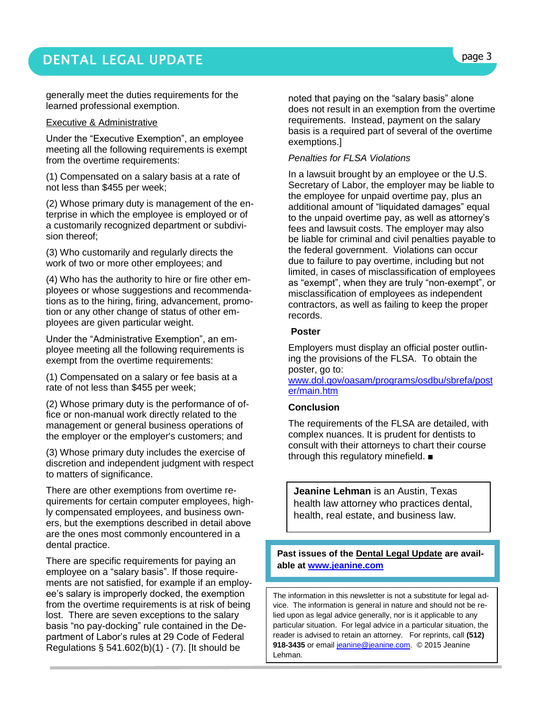### DENTAL LEGAL UPDATE **page 3**

generally meet the duties requirements for the learned professional exemption.

#### Executive & Administrative

Under the "Executive Exemption", an employee meeting all the following requirements is exempt from the overtime requirements:

(1) Compensated on a salary basis at a rate of not less than \$455 per week;

(2) Whose primary duty is management of the enterprise in which the employee is employed or of a customarily recognized department or subdivision thereof;

(3) Who customarily and regularly directs the work of two or more other employees; and

(4) Who has the authority to hire or fire other employees or whose suggestions and recommendations as to the hiring, firing, advancement, promotion or any other change of status of other employees are given particular weight.

Under the "Administrative Exemption", an employee meeting all the following requirements is exempt from the overtime requirements:

(1) Compensated on a salary or fee basis at a rate of not less than \$455 per week;

(2) Whose primary duty is the performance of office or non-manual work directly related to the management or general business operations of the employer or the employer's customers; and

(3) Whose primary duty includes the exercise of discretion and independent judgment with respect to matters of significance.

There are other exemptions from overtime requirements for certain computer employees, highly compensated employees, and business owners, but the exemptions described in detail above are the ones most commonly encountered in a dental practice.

There are specific requirements for paying an employee on a "salary basis". If those requirements are not satisfied, for example if an employee's salary is improperly docked, the exemption from the overtime requirements is at risk of being lost. There are seven exceptions to the salary basis "no pay-docking" rule contained in the Department of Labor's rules at 29 Code of Federal Regulations  $\S$  541.602(b)(1) - (7). [It should be

noted that paying on the "salary basis" alone does not result in an exemption from the overtime requirements. Instead, payment on the salary basis is a required part of several of the overtime exemptions.]

#### *Penalties for FLSA Violations*

In a lawsuit brought by an employee or the U.S. Secretary of Labor, the employer may be liable to the employee for unpaid overtime pay, plus an additional amount of "liquidated damages" equal to the unpaid overtime pay, as well as attorney's fees and lawsuit costs. The employer may also be liable for criminal and civil penalties payable to the federal government. Violations can occur due to failure to pay overtime, including but not limited, in cases of misclassification of employees as "exempt", when they are truly "non-exempt", or misclassification of employees as independent contractors, as well as failing to keep the proper records.

#### **Poster**

Employers must display an official poster outlining the provisions of the FLSA. To obtain the poster, go to:

www.dol.gov/oasam/programs/osdbu/sbrefa/post er/main.htm

#### **Conclusion**

The requirements of the FLSA are detailed, with complex nuances. It is prudent for dentists to consult with their attorneys to chart their course through this regulatory minefield. ■

**Jeanine Lehman** is an Austin, Texas health law attorney who practices dental, health, real estate, and business law.

#### **Past issues of the Dental Legal Update are available at [www.jeanine.com](http://www.jeanine.com/)**

The information in this newsletter is not a substitute for legal advice. The information is general in nature and should not be relied upon as legal advice generally, nor is it applicable to any particular situation. For legal advice in a particular situation, the reader is advised to retain an attorney. For reprints, call **(512)**  918-3435 or email [jeanine@jeanine.com.](mailto:jeanine@jeanine.com) © 2015 Jeanine Lehman.